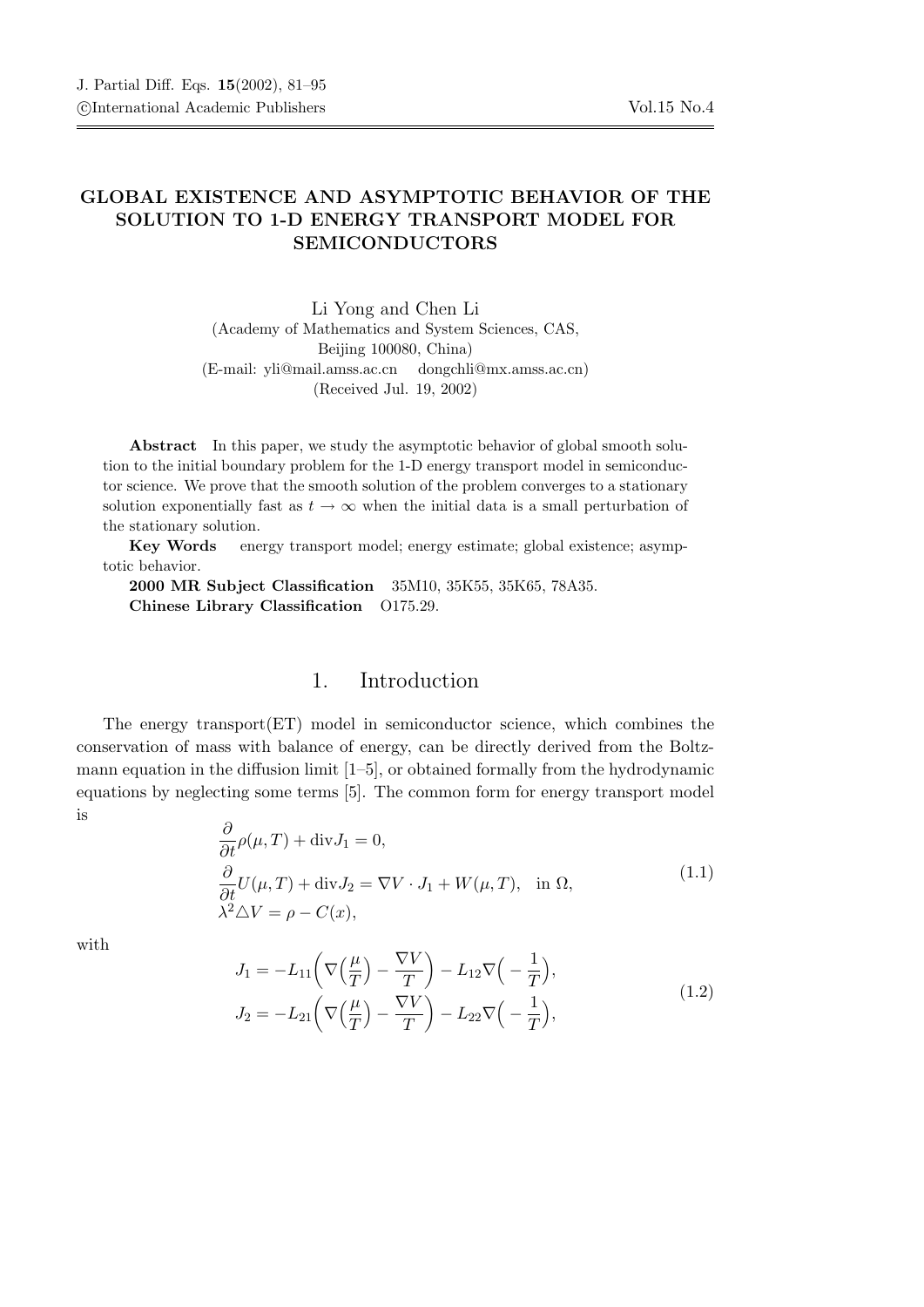## GLOBAL EXISTENCE AND ASYMPTOTIC BEHAVIOR OF THE SOLUTION TO 1-D ENERGY TRANSPORT MODEL FOR SEMICONDUCTORS

Li Yong and Chen Li (Academy of Mathematics and System Sciences, CAS, Beijing 100080, China) (E-mail: yli@mail.amss.ac.cn dongchli@mx.amss.ac.cn) (Received Jul. 19, 2002)

Abstract In this paper, we study the asymptotic behavior of global smooth solution to the initial boundary problem for the 1-D energy transport model in semiconductor science. We prove that the smooth solution of the problem converges to a stationary solution exponentially fast as  $t \to \infty$  when the initial data is a small perturbation of the stationary solution.

Key Words energy transport model; energy estimate; global existence; asymptotic behavior.

2000 MR Subject Classification 35M10, 35K55, 35K65, 78A35. Chinese Library Classification O175.29.

## 1. Introduction

The energy transport $(ET)$  model in semiconductor science, which combines the conservation of mass with balance of energy, can be directly derived from the Boltzmann equation in the diffusion limit [1–5], or obtained formally from the hydrodynamic equations by neglecting some terms [5]. The common form for energy transport model is

$$
\frac{\partial}{\partial t}\rho(\mu, T) + \text{div}J_1 = 0,\n\frac{\partial}{\partial t}U(\mu, T) + \text{div}J_2 = \nabla V \cdot J_1 + W(\mu, T), \text{ in } \Omega,\n\lambda^2 \Delta V = \rho - C(x),
$$
\n(1.1)

with

$$
J_1 = -L_{11}\left(\nabla\left(\frac{\mu}{T}\right) - \frac{\nabla V}{T}\right) - L_{12}\nabla\left(-\frac{1}{T}\right),
$$
  
\n
$$
J_2 = -L_{21}\left(\nabla\left(\frac{\mu}{T}\right) - \frac{\nabla V}{T}\right) - L_{22}\nabla\left(-\frac{1}{T}\right),
$$
\n(1.2)